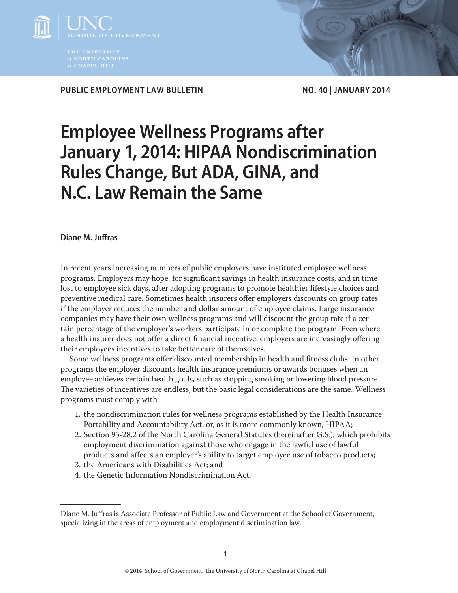

PUBLIC EMPLOYMENT LAW BULLETIN NO. 40 | JANUARY 2014

# **Employee Wellness Programs after January 1, 2014: HIPAA Nondiscrimination Rules Change, But ADA, GINA, and N.C. Law Remain the Same**

# **Diane M. Juffras**

In recent years increasing numbers of public employers have instituted employee wellness programs. Employers may hope for significant savings in health insurance costs, and in time lost to employee sick days, after adopting programs to promote healthier lifestyle choices and preventive medical care. Sometimes health insurers offer employers discounts on group rates if the employer reduces the number and dollar amount of employee claims. Large insurance companies may have their own wellness programs and will discount the group rate if a certain percentage of the employer's workers participate in or complete the program. Even where a health insurer does not offer a direct financial incentive, employers are increasingly offering their employees incentives to take better care of themselves.

Some wellness programs offer discounted membership in health and fitness clubs. In other programs the employer discounts health insurance premiums or awards bonuses when an employee achieves certain health goals, such as stopping smoking or lowering blood pressure. The varieties of incentives are endless, but the basic legal considerations are the same. Wellness programs must comply with

- 1. the nondiscrimination rules for wellness programs established by the Health Insurance Portability and Accountability Act, or, as it is more commonly known, HIPAA;
- 2. Section 95-28.2 of the North Carolina General Statutes (hereinafter G.S.), which prohibits employment discrimination against those who engage in the lawful use of lawful products and affects an employer's ability to target employee use of tobacco products;
- 3. the Americans with Disabilities Act; and
- 4. the Genetic Information Nondiscrimination Act.

Diane M. Juffras is Associate Professor of Public Law and Government at the School of Government, specializing in the areas of employment and employment discrimination law.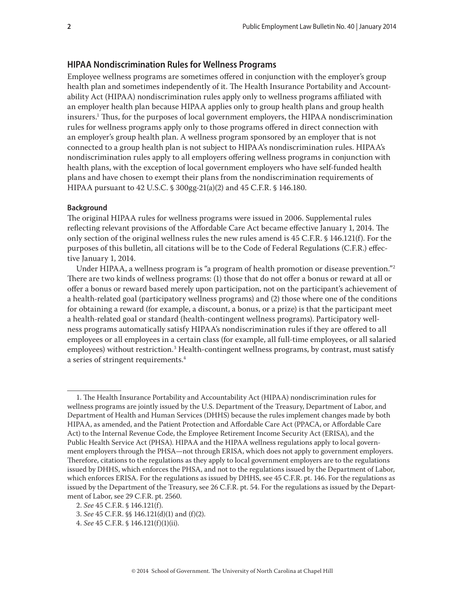## **HIPAA Nondiscrimination Rules for Wellness Programs**

Employee wellness programs are sometimes offered in conjunction with the employer's group health plan and sometimes independently of it. The Health Insurance Portability and Accountability Act (HIPAA) nondiscrimination rules apply only to wellness programs affiliated with an employer health plan because HIPAA applies only to group health plans and group health insurers.1 Thus, for the purposes of local government employers, the HIPAA nondiscrimination rules for wellness programs apply only to those programs offered in direct connection with an employer's group health plan. A wellness program sponsored by an employer that is not connected to a group health plan is not subject to HIPAA's nondiscrimination rules. HIPAA's nondiscrimination rules apply to all employers offering wellness programs in conjunction with health plans, with the exception of local government employers who have self-funded health plans and have chosen to exempt their plans from the nondiscrimination requirements of HIPAA pursuant to 42 U.S.C. § 300gg-21(a)(2) and 45 C.F.R. § 146.180.

#### **Background**

The original HIPAA rules for wellness programs were issued in 2006. Supplemental rules reflecting relevant provisions of the Affordable Care Act became effective January 1, 2014. The only section of the original wellness rules the new rules amend is 45 C.F.R. § 146.121(f). For the purposes of this bulletin, all citations will be to the Code of Federal Regulations (C.F.R.) effective January 1, 2014.

Under HIPAA, a wellness program is "a program of health promotion or disease prevention."<sup>2</sup> There are two kinds of wellness programs: (1) those that do not offer a bonus or reward at all or offer a bonus or reward based merely upon participation, not on the participant's achievement of a health-related goal (participatory wellness programs) and (2) those where one of the conditions for obtaining a reward (for example, a discount, a bonus, or a prize) is that the participant meet a health-related goal or standard (health-contingent wellness programs). Participatory wellness programs automatically satisfy HIPAA's nondiscrimination rules if they are offered to all employees or all employees in a certain class (for example, all full-time employees, or all salaried employees) without restriction.<sup>3</sup> Health-contingent wellness programs, by contrast, must satisfy a series of stringent requirements.<sup>4</sup>

<sup>1.</sup> The Health Insurance Portability and Accountability Act (HIPAA) nondiscrimination rules for wellness programs are jointly issued by the U.S. Department of the Treasury, Department of Labor, and Department of Health and Human Services (DHHS) because the rules implement changes made by both HIPAA, as amended, and the Patient Protection and Affordable Care Act (PPACA, or Affordable Care Act) to the Internal Revenue Code, the Employee Retirement Income Security Act (ERISA), and the Public Health Service Act (PHSA). HIPAA and the HIPAA wellness regulations apply to local government employers through the PHSA—not through ERISA, which does not apply to government employers. Therefore, citations to the regulations as they apply to local government employers are to the regulations issued by DHHS, which enforces the PHSA, and not to the regulations issued by the Department of Labor, which enforces ERISA. For the regulations as issued by DHHS, see 45 C.F.R. pt. 146. For the regulations as issued by the Department of the Treasury, see 26 C.F.R. pt. 54. For the regulations as issued by the Department of Labor, see 29 C.F.R. pt. 2560.

<sup>2.</sup> *See* 45 C.F.R. § 146.121(f).

<sup>3.</sup> *See* 45 C.F.R. §§ 146.121(d)(1) and (f)(2).

<sup>4.</sup> *See* 45 C.F.R. § 146.121(f)(1)(ii).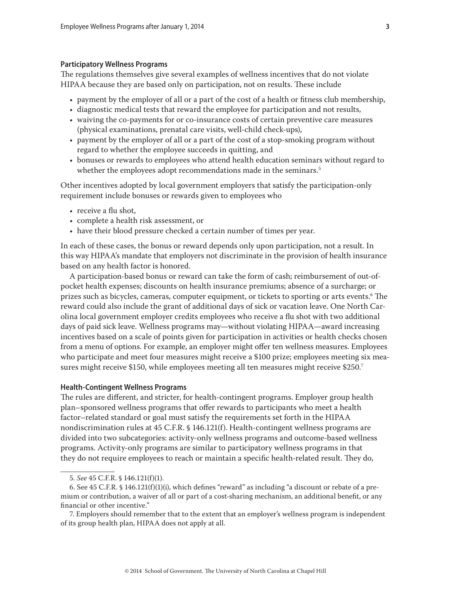#### **Participatory Wellness Programs**

The regulations themselves give several examples of wellness incentives that do not violate HIPAA because they are based only on participation, not on results. These include

- payment by the employer of all or a part of the cost of a health or fitness club membership,
- diagnostic medical tests that reward the employee for participation and not results,
- waiving the co-payments for or co-insurance costs of certain preventive care measures (physical examinations, prenatal care visits, well-child check-ups),
- payment by the employer of all or a part of the cost of a stop-smoking program without regard to whether the employee succeeds in quitting, and
- bonuses or rewards to employees who attend health education seminars without regard to whether the employees adopt recommendations made in the seminars.<sup>5</sup>

Other incentives adopted by local government employers that satisfy the participation-only requirement include bonuses or rewards given to employees who

- receive a flu shot,
- complete a health risk assessment, or
- have their blood pressure checked a certain number of times per year.

In each of these cases, the bonus or reward depends only upon participation, not a result. In this way HIPAA's mandate that employers not discriminate in the provision of health insurance based on any health factor is honored.

A participation-based bonus or reward can take the form of cash; reimbursement of out-ofpocket health expenses; discounts on health insurance premiums; absence of a surcharge; or prizes such as bicycles, cameras, computer equipment, or tickets to sporting or arts events.6 The reward could also include the grant of additional days of sick or vacation leave. One North Carolina local government employer credits employees who receive a flu shot with two additional days of paid sick leave. Wellness programs may—without violating HIPAA—award increasing incentives based on a scale of points given for participation in activities or health checks chosen from a menu of options. For example, an employer might offer ten wellness measures. Employees who participate and meet four measures might receive a \$100 prize; employees meeting six measures might receive \$150, while employees meeting all ten measures might receive \$250.7

#### **Health-Contingent Wellness Programs**

The rules are different, and stricter, for health-contingent programs. Employer group health plan–sponsored wellness programs that offer rewards to participants who meet a health factor–related standard or goal must satisfy the requirements set forth in the HIPAA nondiscrimination rules at 45 C.F.R. § 146.121(f). Health-contingent wellness programs are divided into two subcategories: activity-only wellness programs and outcome-based wellness programs. Activity-only programs are similar to participatory wellness programs in that they do not require employees to reach or maintain a specific health-related result. They do,

7. Employers should remember that to the extent that an employer's wellness program is independent of its group health plan, HIPAA does not apply at all.

<sup>5.</sup> *See* 45 C.F.R. § 146.121(f)(1).

<sup>6.</sup> See 45 C.F.R. § 146.121(f)(1)(i), which defines "reward" as including "a discount or rebate of a premium or contribution, a waiver of all or part of a cost-sharing mechanism, an additional benefit, or any financial or other incentive."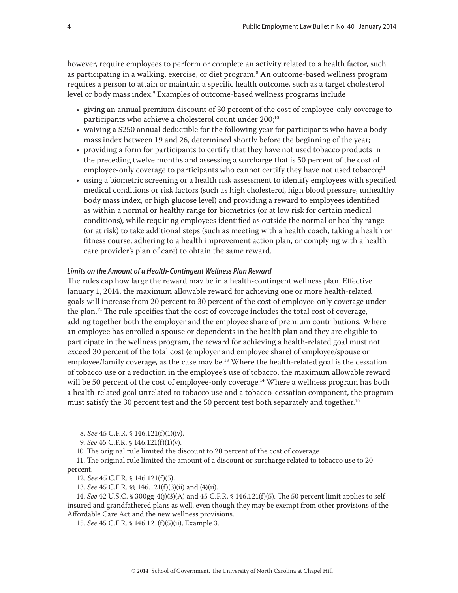however, require employees to perform or complete an activity related to a health factor, such as participating in a walking, exercise, or diet program.<sup>8</sup> An outcome-based wellness program requires a person to attain or maintain a specific health outcome, such as a target cholesterol level or body mass index.9 Examples of outcome-based wellness programs include

- giving an annual premium discount of 30 percent of the cost of employee-only coverage to participants who achieve a cholesterol count under 200;<sup>10</sup>
- waiving a \$250 annual deductible for the following year for participants who have a body mass index between 19 and 26, determined shortly before the beginning of the year;
- providing a form for participants to certify that they have not used tobacco products in the preceding twelve months and assessing a surcharge that is 50 percent of the cost of employee-only coverage to participants who cannot certify they have not used tobacco;<sup>11</sup>
- using a biometric screening or a health risk assessment to identify employees with specified medical conditions or risk factors (such as high cholesterol, high blood pressure, unhealthy body mass index, or high glucose level) and providing a reward to employees identified as within a normal or healthy range for biometrics (or at low risk for certain medical conditions), while requiring employees identified as outside the normal or healthy range (or at risk) to take additional steps (such as meeting with a health coach, taking a health or fitness course, adhering to a health improvement action plan, or complying with a health care provider's plan of care) to obtain the same reward.

#### *Limits on the Amount of a Health-Contingent Wellness Plan Reward*

The rules cap how large the reward may be in a health-contingent wellness plan. Effective January 1, 2014, the maximum allowable reward for achieving one or more health-related goals will increase from 20 percent to 30 percent of the cost of employee-only coverage under the plan.<sup>12</sup> The rule specifies that the cost of coverage includes the total cost of coverage, adding together both the employer and the employee share of premium contributions. Where an employee has enrolled a spouse or dependents in the health plan and they are eligible to participate in the wellness program, the reward for achieving a health-related goal must not exceed 30 percent of the total cost (employer and employee share) of employee/spouse or employee/family coverage, as the case may be.<sup>13</sup> Where the health-related goal is the cessation of tobacco use or a reduction in the employee's use of tobacco, the maximum allowable reward will be 50 percent of the cost of employee-only coverage.<sup>14</sup> Where a wellness program has both a health-related goal unrelated to tobacco use and a tobacco-cessation component, the program must satisfy the 30 percent test and the 50 percent test both separately and together.<sup>15</sup>

10. The original rule limited the discount to 20 percent of the cost of coverage.

11. The original rule limited the amount of a discount or surcharge related to tobacco use to 20 percent.

13. *See* 45 C.F.R. §§ 146.121(f)(3)(ii) and (4)(ii).

14. *See* 42 U.S.C. § 300gg-4(j)(3)(A) and 45 C.F.R. § 146.121(f)(5). The 50 percent limit applies to selfinsured and grandfathered plans as well, even though they may be exempt from other provisions of the Affordable Care Act and the new wellness provisions.

15. *See* 45 C.F.R. § 146.121(f)(5)(ii), Example 3.

<sup>8.</sup> *See* 45 C.F.R. § 146.121(f)(1)(iv).

<sup>9.</sup> *See* 45 C.F.R. § 146.121(f)(1)(v).

<sup>12.</sup> *See* 45 C.F.R. § 146.121(f)(5).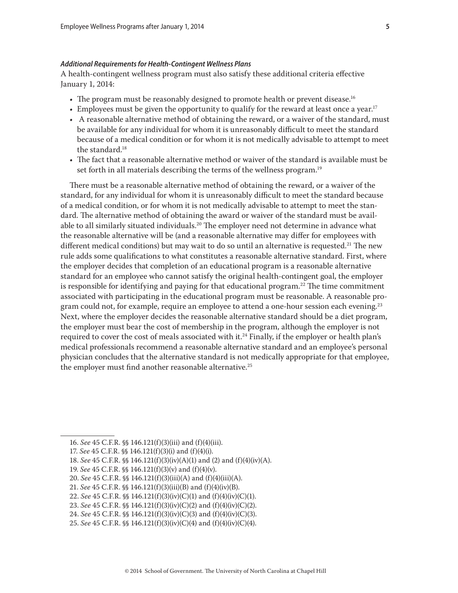#### *Additional Requirements for Health-Contingent Wellness Plans*

A health-contingent wellness program must also satisfy these additional criteria effective January 1, 2014:

- The program must be reasonably designed to promote health or prevent disease.<sup>16</sup>
- Employees must be given the opportunity to qualify for the reward at least once a year.<sup>17</sup>
- A reasonable alternative method of obtaining the reward, or a waiver of the standard, must be available for any individual for whom it is unreasonably difficult to meet the standard because of a medical condition or for whom it is not medically advisable to attempt to meet the standard.18
- The fact that a reasonable alternative method or waiver of the standard is available must be set forth in all materials describing the terms of the wellness program.<sup>19</sup>

There must be a reasonable alternative method of obtaining the reward, or a waiver of the standard, for any individual for whom it is unreasonably difficult to meet the standard because of a medical condition, or for whom it is not medically advisable to attempt to meet the standard. The alternative method of obtaining the award or waiver of the standard must be available to all similarly situated individuals.<sup>20</sup> The employer need not determine in advance what the reasonable alternative will be (and a reasonable alternative may differ for employees with different medical conditions) but may wait to do so until an alternative is requested.<sup>21</sup> The new rule adds some qualifications to what constitutes a reasonable alternative standard. First, where the employer decides that completion of an educational program is a reasonable alternative standard for an employee who cannot satisfy the original health-contingent goal, the employer is responsible for identifying and paying for that educational program.<sup>22</sup> The time commitment associated with participating in the educational program must be reasonable. A reasonable program could not, for example, require an employee to attend a one-hour session each evening.<sup>23</sup> Next, where the employer decides the reasonable alternative standard should be a diet program, the employer must bear the cost of membership in the program, although the employer is not required to cover the cost of meals associated with it.<sup>24</sup> Finally, if the employer or health plan's medical professionals recommend a reasonable alternative standard and an employee's personal physician concludes that the alternative standard is not medically appropriate for that employee, the employer must find another reasonable alternative.<sup>25</sup>

- 19. *See* 45 C.F.R. §§ 146.121(f)(3)(v) and (f)(4)(v).
- 20. *See* 45 C.F.R. §§ 146.121(f)(3)(iii)(A) and (f)(4)(iii)(A).

23. *See* 45 C.F.R. §§ 146.121(f)(3)(iv)(C)(2) and (f)(4)(iv)(C)(2).

<sup>16.</sup> *See* 45 C.F.R. §§ 146.121(f)(3)(iii) and (f)(4)(iii).

<sup>17.</sup> *See* 45 C.F.R. §§ 146.121(f)(3)(i) and (f)(4)(i).

<sup>18.</sup> *See* 45 C.F.R. §§ 146.121(f)(3)(iv)(A)(1) and (2) and (f)(4)(iv)(A).

<sup>21.</sup> *See* 45 C.F.R. §§ 146.121(f)(3)(iii)(B) and (f)(4)(iv)(B).

<sup>22.</sup> *See* 45 C.F.R. §§ 146.121(f)(3)(iv)(C)(1) and (f)(4)(iv)(C)(1).

<sup>24.</sup> *See* 45 C.F.R. §§ 146.121(f)(3)(iv)(C)(3) and (f)(4)(iv)(C)(3).

<sup>25.</sup> *See* 45 C.F.R. §§ 146.121(f)(3)(iv)(C)(4) and (f)(4)(iv)(C)(4).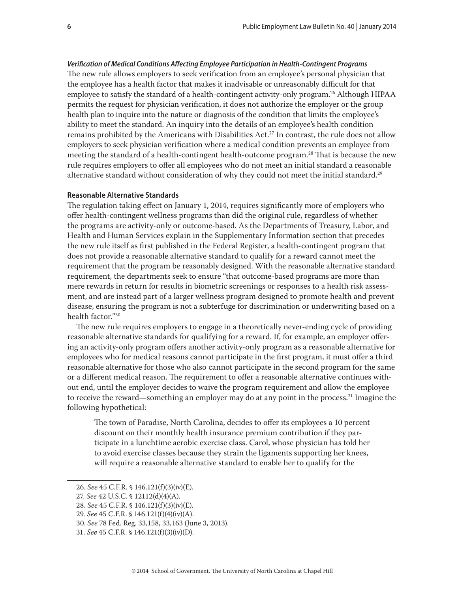*Verification of Medical Conditions Affecting Employee Participation in Health-Contingent Programs* The new rule allows employers to seek verification from an employee's personal physician that the employee has a health factor that makes it inadvisable or unreasonably difficult for that employee to satisfy the standard of a health-contingent activity-only program.<sup>26</sup> Although HIPAA permits the request for physician verification, it does not authorize the employer or the group health plan to inquire into the nature or diagnosis of the condition that limits the employee's ability to meet the standard. An inquiry into the details of an employee's health condition remains prohibited by the Americans with Disabilities Act.<sup>27</sup> In contrast, the rule does not allow employers to seek physician verification where a medical condition prevents an employee from meeting the standard of a health-contingent health-outcome program.<sup>28</sup> That is because the new rule requires employers to offer all employees who do not meet an initial standard a reasonable alternative standard without consideration of why they could not meet the initial standard.<sup>29</sup>

#### **Reasonable Alternative Standards**

The regulation taking effect on January 1, 2014, requires significantly more of employers who offer health-contingent wellness programs than did the original rule, regardless of whether the programs are activity-only or outcome-based. As the Departments of Treasury, Labor, and Health and Human Services explain in the Supplementary Information section that precedes the new rule itself as first published in the Federal Register, a health-contingent program that does not provide a reasonable alternative standard to qualify for a reward cannot meet the requirement that the program be reasonably designed. With the reasonable alternative standard requirement, the departments seek to ensure "that outcome-based programs are more than mere rewards in return for results in biometric screenings or responses to a health risk assessment, and are instead part of a larger wellness program designed to promote health and prevent disease, ensuring the program is not a subterfuge for discrimination or underwriting based on a health factor."30

The new rule requires employers to engage in a theoretically never-ending cycle of providing reasonable alternative standards for qualifying for a reward. If, for example, an employer offering an activity-only program offers another activity-only program as a reasonable alternative for employees who for medical reasons cannot participate in the first program, it must offer a third reasonable alternative for those who also cannot participate in the second program for the same or a different medical reason. The requirement to offer a reasonable alternative continues without end, until the employer decides to waive the program requirement and allow the employee to receive the reward—something an employer may do at any point in the process.<sup>31</sup> Imagine the following hypothetical:

The town of Paradise, North Carolina, decides to offer its employees a 10 percent discount on their monthly health insurance premium contribution if they participate in a lunchtime aerobic exercise class. Carol, whose physician has told her to avoid exercise classes because they strain the ligaments supporting her knees, will require a reasonable alternative standard to enable her to qualify for the

<sup>26.</sup> *See* 45 C.F.R. § 146.121(f)(3)(iv)(E).

<sup>27.</sup> *See* 42 U.S.C. § 12112(d)(4)(A).

<sup>28.</sup> *See* 45 C.F.R. § 146.121(f)(3)(iv)(E).

<sup>29.</sup> *See* 45 C.F.R. § 146.121(f)(4)(iv)(A).

<sup>30.</sup> *See* 78 Fed. Reg. 33,158, 33,163 (June 3, 2013).

<sup>31.</sup> *See* 45 C.F.R. § 146.121(f)(3)(iv)(D).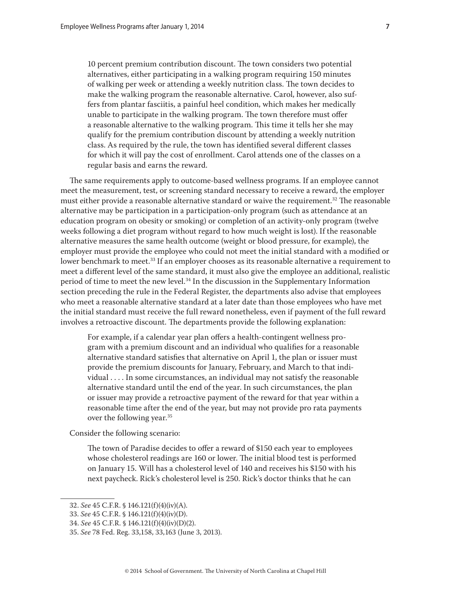regular basis and earns the reward.

10 percent premium contribution discount. The town considers two potential alternatives, either participating in a walking program requiring 150 minutes of walking per week or attending a weekly nutrition class. The town decides to make the walking program the reasonable alternative. Carol, however, also suffers from plantar fasciitis, a painful heel condition, which makes her medically unable to participate in the walking program. The town therefore must offer a reasonable alternative to the walking program. This time it tells her she may qualify for the premium contribution discount by attending a weekly nutrition class. As required by the rule, the town has identified several different classes

The same requirements apply to outcome-based wellness programs. If an employee cannot meet the measurement, test, or screening standard necessary to receive a reward, the employer must either provide a reasonable alternative standard or waive the requirement.<sup>32</sup> The reasonable alternative may be participation in a participation-only program (such as attendance at an education program on obesity or smoking) or completion of an activity-only program (twelve weeks following a diet program without regard to how much weight is lost). If the reasonable alternative measures the same health outcome (weight or blood pressure, for example), the employer must provide the employee who could not meet the initial standard with a modified or lower benchmark to meet.<sup>33</sup> If an employer chooses as its reasonable alternative a requirement to meet a different level of the same standard, it must also give the employee an additional, realistic period of time to meet the new level.34 In the discussion in the Supplementary Information section preceding the rule in the Federal Register, the departments also advise that employees who meet a reasonable alternative standard at a later date than those employees who have met the initial standard must receive the full reward nonetheless, even if payment of the full reward involves a retroactive discount. The departments provide the following explanation:

for which it will pay the cost of enrollment. Carol attends one of the classes on a

For example, if a calendar year plan offers a health-contingent wellness program with a premium discount and an individual who qualifies for a reasonable alternative standard satisfies that alternative on April 1, the plan or issuer must provide the premium discounts for January, February, and March to that individual . . . . In some circumstances, an individual may not satisfy the reasonable alternative standard until the end of the year. In such circumstances, the plan or issuer may provide a retroactive payment of the reward for that year within a reasonable time after the end of the year, but may not provide pro rata payments over the following year.<sup>35</sup>

Consider the following scenario:

The town of Paradise decides to offer a reward of \$150 each year to employees whose cholesterol readings are 160 or lower. The initial blood test is performed on January 15. Will has a cholesterol level of 140 and receives his \$150 with his next paycheck. Rick's cholesterol level is 250. Rick's doctor thinks that he can

<sup>32.</sup> *See* 45 C.F.R. § 146.121(f)(4)(iv)(A).

<sup>33.</sup> *See* 45 C.F.R. § 146.121(f)(4)(iv)(D).

<sup>34.</sup> *See* 45 C.F.R. § 146.121(f)(4)(iv)(D)(2).

<sup>35.</sup> *See* 78 Fed. Reg. 33,158, 33,163 (June 3, 2013).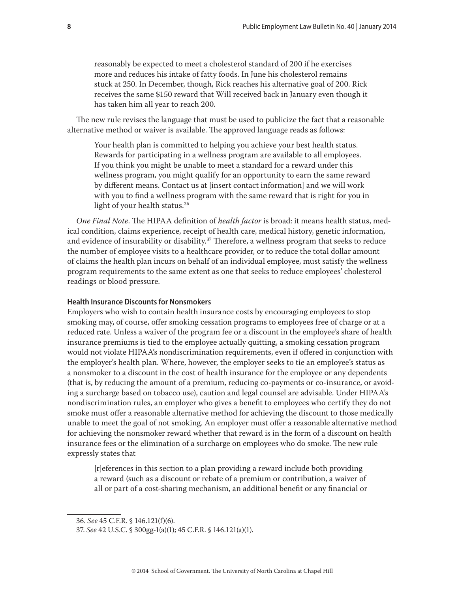reasonably be expected to meet a cholesterol standard of 200 if he exercises more and reduces his intake of fatty foods. In June his cholesterol remains stuck at 250. In December, though, Rick reaches his alternative goal of 200. Rick receives the same \$150 reward that Will received back in January even though it has taken him all year to reach 200.

The new rule revises the language that must be used to publicize the fact that a reasonable alternative method or waiver is available. The approved language reads as follows:

Your health plan is committed to helping you achieve your best health status. Rewards for participating in a wellness program are available to all employees. If you think you might be unable to meet a standard for a reward under this wellness program, you might qualify for an opportunity to earn the same reward by different means. Contact us at [insert contact information] and we will work with you to find a wellness program with the same reward that is right for you in light of your health status.<sup>36</sup>

*One Final Note*. The HIPAA definition of *health factor* is broad: it means health status, medical condition, claims experience, receipt of health care, medical history, genetic information, and evidence of insurability or disability.<sup>37</sup> Therefore, a wellness program that seeks to reduce the number of employee visits to a healthcare provider, or to reduce the total dollar amount of claims the health plan incurs on behalf of an individual employee, must satisfy the wellness program requirements to the same extent as one that seeks to reduce employees' cholesterol readings or blood pressure.

# **Health Insurance Discounts for Nonsmokers**

Employers who wish to contain health insurance costs by encouraging employees to stop smoking may, of course, offer smoking cessation programs to employees free of charge or at a reduced rate. Unless a waiver of the program fee or a discount in the employee's share of health insurance premiums is tied to the employee actually quitting, a smoking cessation program would not violate HIPAA's nondiscrimination requirements, even if offered in conjunction with the employer's health plan. Where, however, the employer seeks to tie an employee's status as a nonsmoker to a discount in the cost of health insurance for the employee or any dependents (that is, by reducing the amount of a premium, reducing co-payments or co-insurance, or avoiding a surcharge based on tobacco use), caution and legal counsel are advisable. Under HIPAA's nondiscrimination rules, an employer who gives a benefit to employees who certify they do not smoke must offer a reasonable alternative method for achieving the discount to those medically unable to meet the goal of not smoking. An employer must offer a reasonable alternative method for achieving the nonsmoker reward whether that reward is in the form of a discount on health insurance fees or the elimination of a surcharge on employees who do smoke. The new rule expressly states that

[r]eferences in this section to a plan providing a reward include both providing a reward (such as a discount or rebate of a premium or contribution, a waiver of all or part of a cost-sharing mechanism, an additional benefit or any financial or

<sup>36.</sup> *See* 45 C.F.R. § 146.121(f)(6).

<sup>37.</sup> *See* 42 U.S.C. § 300gg-1(a)(1); 45 C.F.R. § 146.121(a)(1).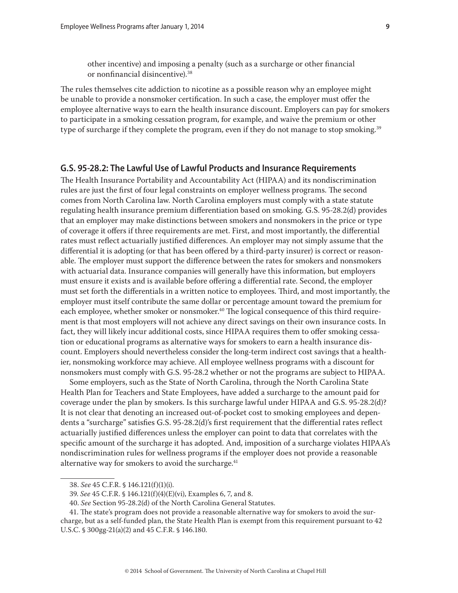other incentive) and imposing a penalty (such as a surcharge or other financial or nonfinancial disincentive).38

The rules themselves cite addiction to nicotine as a possible reason why an employee might be unable to provide a nonsmoker certification. In such a case, the employer must offer the employee alternative ways to earn the health insurance discount. Employers can pay for smokers to participate in a smoking cessation program, for example, and waive the premium or other type of surcharge if they complete the program, even if they do not manage to stop smoking.<sup>39</sup>

## **G.S. 95-28.2: The Lawful Use of Lawful Products and Insurance Requirements**

The Health Insurance Portability and Accountability Act (HIPAA) and its nondiscrimination rules are just the first of four legal constraints on employer wellness programs. The second comes from North Carolina law. North Carolina employers must comply with a state statute regulating health insurance premium differentiation based on smoking. G.S. 95-28.2(d) provides that an employer may make distinctions between smokers and nonsmokers in the price or type of coverage it offers if three requirements are met. First, and most importantly, the differential rates must reflect actuarially justified differences. An employer may not simply assume that the differential it is adopting (or that has been offered by a third-party insurer) is correct or reasonable. The employer must support the difference between the rates for smokers and nonsmokers with actuarial data. Insurance companies will generally have this information, but employers must ensure it exists and is available before offering a differential rate. Second, the employer must set forth the differentials in a written notice to employees. Third, and most importantly, the employer must itself contribute the same dollar or percentage amount toward the premium for each employee, whether smoker or nonsmoker.<sup>40</sup> The logical consequence of this third requirement is that most employers will not achieve any direct savings on their own insurance costs. In fact, they will likely incur additional costs, since HIPAA requires them to offer smoking cessation or educational programs as alternative ways for smokers to earn a health insurance discount. Employers should nevertheless consider the long-term indirect cost savings that a healthier, nonsmoking workforce may achieve. All employee wellness programs with a discount for nonsmokers must comply with G.S. 95-28.2 whether or not the programs are subject to HIPAA.

Some employers, such as the State of North Carolina, through the North Carolina State Health Plan for Teachers and State Employees, have added a surcharge to the amount paid for coverage under the plan by smokers. Is this surcharge lawful under HIPAA and G.S. 95-28.2(d)? It is not clear that denoting an increased out-of-pocket cost to smoking employees and dependents a "surcharge" satisfies G.S. 95-28.2(d)'s first requirement that the differential rates reflect actuarially justified differences unless the employer can point to data that correlates with the specific amount of the surcharge it has adopted. And, imposition of a surcharge violates HIPAA's nondiscrimination rules for wellness programs if the employer does not provide a reasonable alternative way for smokers to avoid the surcharge.<sup>41</sup>

<sup>38.</sup> *See* 45 C.F.R. § 146.121(f)(1)(i).

<sup>39.</sup> *See* 45 C.F.R. § 146.121(f)(4)(E)(vi), Examples 6, 7, and 8.

<sup>40.</sup> *See* Section 95-28.2(d) of the North Carolina General Statutes.

<sup>41.</sup> The state's program does not provide a reasonable alternative way for smokers to avoid the surcharge, but as a self-funded plan, the State Health Plan is exempt from this requirement pursuant to 42 U.S.C. § 300gg-21(a)(2) and 45 C.F.R. § 146.180.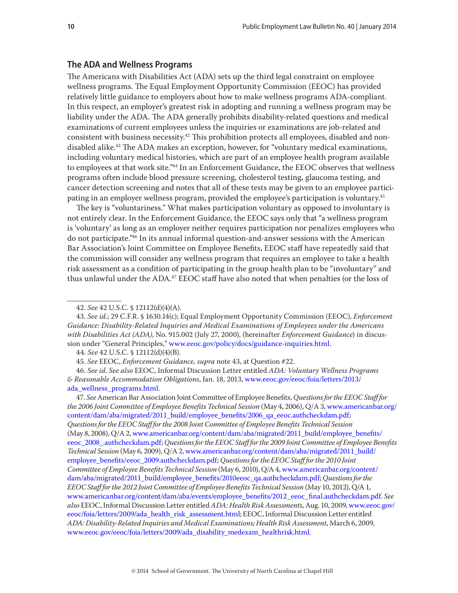#### **The ADA and Wellness Programs**

The Americans with Disabilities Act (ADA) sets up the third legal constraint on employee wellness programs. The Equal Employment Opportunity Commission (EEOC) has provided relatively little guidance to employers about how to make wellness programs ADA-compliant. In this respect, an employer's greatest risk in adopting and running a wellness program may be liability under the ADA. The ADA generally prohibits disability-related questions and medical examinations of current employees unless the inquiries or examinations are job-related and consistent with business necessity.42 This prohibition protects all employees, disabled and nondisabled alike.<sup>43</sup> The ADA makes an exception, however, for "voluntary medical examinations, including voluntary medical histories, which are part of an employee health program available to employees at that work site."44 In an Enforcement Guidance, the EEOC observes that wellness programs often include blood pressure screening, cholesterol testing, glaucoma testing, and cancer detection screening and notes that all of these tests may be given to an employee participating in an employer wellness program, provided the employee's participation is voluntary.<sup>45</sup>

The key is "voluntariness." What makes participation voluntary as opposed to involuntary is not entirely clear. In the Enforcement Guidance, the EEOC says only that "a wellness program is 'voluntary' as long as an employer neither requires participation nor penalizes employees who do not participate."46 In its annual informal question-and-answer sessions with the American Bar Association's Joint Committee on Employee Benefits, EEOC staff have repeatedly said that the commission will consider any wellness program that requires an employee to take a health risk assessment as a condition of participating in the group health plan to be "involuntary" and thus unlawful under the  $ADA^{47}$  EEOC staff have also noted that when penalties (or the loss of

47. *See* American Bar Association Joint Committee of Employee Benefits, *Questions for the EEOC Staff for the 2006 Joint Committee of Employee Benefits Technical Session* (May 4, 2006), Q/A 3, [www.americanbar.org/](www.americanbar.org/content/dam/aba/migrated/2011_build/employee_benefits/2006_qa_eeoc.authcheckdam.pdf) [content/dam/aba/migrated/2011\\_build/employee\\_benefits/2006\\_qa\\_eeoc.authcheckdam.pdf](www.americanbar.org/content/dam/aba/migrated/2011_build/employee_benefits/2006_qa_eeoc.authcheckdam.pdf); *Questions for the EEOC Staff for the 2008 Joint Committee of Employee Benefits Technical Session* (May 8, 2008), Q/A 2, [www.americanbar.org/content/dam/aba/migrated/2011\\_build/employee\\_benefits/](www.americanbar.org/content/dam/aba/migrated/2011_build/employee_benefits/eeoc_2008_.authcheckdam.pdf) [eeoc\\_2008\\_.authcheckdam.pdf;](www.americanbar.org/content/dam/aba/migrated/2011_build/employee_benefits/eeoc_2008_.authcheckdam.pdf) *Questions for the EEOC Staff for the 2009 Joint Committee of Employee Benefits Technical Session* (May 6, 2009), Q/A 2, [www.americanbar.org/content/dam/aba/migrated/2011\\_build/](www.americanbar.org/content/dam/aba/migrated/2011_build/employee_benefits/eeoc_2009.authcheckdam.pdf) [employee\\_benefits/eeoc\\_2009.authcheckdam.pdf](www.americanbar.org/content/dam/aba/migrated/2011_build/employee_benefits/eeoc_2009.authcheckdam.pdf); *Questions for the EEOC Staff for the 2010 Joint Committee of Employee Benefits Technical Session* (May 6, 2010), Q/A 4, [www.americanbar.org/content/](www.americanbar.org/content/dam/aba/migrated/2011_build/employee_benefits/2010eeoc_qa.authcheckdam.pdf) [dam/aba/migrated/2011\\_build/employee\\_benefits/2010eeoc\\_qa.authcheckdam.pdf;](www.americanbar.org/content/dam/aba/migrated/2011_build/employee_benefits/2010eeoc_qa.authcheckdam.pdf) *Questions for the EEOC Staff for the 2012 Joint Committee of Employee Benefits Technical Session* (May 10, 2012), Q/A 1, [www.americanbar.org/content/dam/aba/events/employee\\_benefits/2012\\_eeoc\\_final.authcheckdam.pdf.](www.americanbar.org/content/dam/aba/events/employee_benefits/2012_eeoc_final.authcheckdam.pdf) *See also* EEOC, Informal Discussion Letter entitled *ADA: Health Risk Assessments*, Aug. 10, 2009, [www.eeoc.gov/](www.eeoc.gov/eeoc/foia/letters/2009/ada_health_risk_assessment.html) [eeoc/foia/letters/2009/ada\\_health\\_risk\\_assessment.html;](www.eeoc.gov/eeoc/foia/letters/2009/ada_health_risk_assessment.html) EEOC, Informal Discussion Letter entitled *ADA: Disability-Related Inquiries and Medical Examinations; Health Risk Assessment*, March 6, 2009, [www.eeoc.gov/eeoc/foia/letters/2009/ada\\_disability\\_medexam\\_healthrisk.html.](www.eeoc.gov/eeoc/foia/letters/2009/ada_disability_medexam_healthrisk.html)

<sup>42.</sup> *See* 42 U.S.C. § 12112(d)(4)(A).

<sup>43.</sup> *See id.*; 29 C.F.R. § 1630.14(c); Equal Employment Opportunity Commission (EEOC), *Enforcement Guidance*: *Disability-Related Inquiries and Medical Examinations of Employees under the Americans with Disabilities Act (ADA)*, No. 915.002 (July 27, 2000), (hereinafter *Enforcement Guidance*) in discussion under "General Principles," [www.eeoc.gov/policy/docs/guidance-inquiries.html.](www.eeoc.gov/policy/docs/guidance-inquiries.html)

<sup>44.</sup> *See* 42 U.S.C. § 12112(d)(4)(B).

<sup>45.</sup> *See* EEOC, *Enforcement Guidance, supra* note 43, at Question #22.

<sup>46.</sup> *See id*. *See also* EEOC, Informal Discussion Letter entitled *ADA: Voluntary Wellness Programs & Reasonable Accommodation Obligations*, Jan. 18, 2013, [www.eeoc.gov/eeoc/foia/letters/2013/](www.eeoc.gov/eeoc/foia/letters/2013/ada_wellness_programs.html) [ada\\_wellness\\_programs.html.](www.eeoc.gov/eeoc/foia/letters/2013/ada_wellness_programs.html)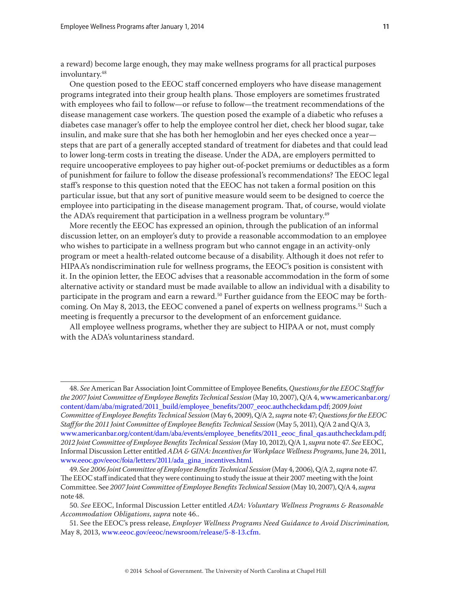a reward) become large enough, they may make wellness programs for all practical purposes involuntary.<sup>48</sup>

One question posed to the EEOC staff concerned employers who have disease management programs integrated into their group health plans. Those employers are sometimes frustrated with employees who fail to follow—or refuse to follow—the treatment recommendations of the disease management case workers. The question posed the example of a diabetic who refuses a diabetes case manager's offer to help the employee control her diet, check her blood sugar, take insulin, and make sure that she has both her hemoglobin and her eyes checked once a year steps that are part of a generally accepted standard of treatment for diabetes and that could lead to lower long-term costs in treating the disease. Under the ADA, are employers permitted to require uncooperative employees to pay higher out-of-pocket premiums or deductibles as a form of punishment for failure to follow the disease professional's recommendations? The EEOC legal staff's response to this question noted that the EEOC has not taken a formal position on this particular issue, but that any sort of punitive measure would seem to be designed to coerce the employee into participating in the disease management program. That, of course, would violate the ADA's requirement that participation in a wellness program be voluntary.<sup>49</sup>

More recently the EEOC has expressed an opinion, through the publication of an informal discussion letter, on an employer's duty to provide a reasonable accommodation to an employee who wishes to participate in a wellness program but who cannot engage in an activity-only program or meet a health-related outcome because of a disability. Although it does not refer to HIPAA's nondiscrimination rule for wellness programs, the EEOC's position is consistent with it. In the opinion letter, the EEOC advises that a reasonable accommodation in the form of some alternative activity or standard must be made available to allow an individual with a disability to participate in the program and earn a reward.<sup>50</sup> Further guidance from the EEOC may be forthcoming. On May 8, 2013, the EEOC convened a panel of experts on wellness programs.<sup>51</sup> Such a meeting is frequently a precursor to the development of an enforcement guidance.

All employee wellness programs, whether they are subject to HIPAA or not, must comply with the ADA's voluntariness standard.

<sup>48.</sup> *See* American Bar Association Joint Committee of Employee Benefits, *Questions for the EEOC Staff for the 2007 Joint Committee of Employee Benefits Technical Session* (May 10, 2007), Q/A 4, [www.americanbar.org/](www.americanbar.org/content/dam/aba/migrated/2011_build/employee_benefits/2007_eeoc.authcheckdam.pdf) [content/dam/aba/migrated/2011\\_build/employee\\_benefits/2007\\_eeoc.authcheckdam.pdf;](www.americanbar.org/content/dam/aba/migrated/2011_build/employee_benefits/2007_eeoc.authcheckdam.pdf) *2009 Joint Committee of Employee Benefits Technical Session* (May 6, 2009), Q/A 2, *supra* note 47; *Questions for the EEOC Staff for the 2011 Joint Committee of Employee Benefits Technical Session* (May 5, 2011), Q/A 2 and Q/A 3, [www.americanbar.org/content/dam/aba/events/employee\\_benefits/2011\\_eeoc\\_final\\_qas.authcheckdam.pdf](www.americanbar.org/content/dam/aba/events/employee_benefits/2011_eeoc_final_qas.authcheckdam.pdf); *2012 Joint Committee of Employee Benefits Technical Session* (May 10, 2012), Q/A 1,*supra* note 47. *See* EEOC, Informal Discussion Letter entitled *ADA & GINA: Incentives for Workplace Wellness Programs*, June 24, 2011, [www.eeoc.gov/eeoc/foia/letters/2011/ada\\_gina\\_incentives.html](www.eeoc.gov/eeoc/foia/letters/2011/ada_gina_incentives.html).

<sup>49.</sup> *See 2006 Joint Committee of Employee Benefits Technical Session* (May 4, 2006), Q/A 2, *supra* note 47. The EEOC staff indicated that they were continuing to study the issue at their 2007 meeting with the Joint Committee. See *2007 Joint Committee of Employee Benefits Technical Session* (May 10, 2007), Q/A 4, *supra* note 48.

<sup>50.</sup> *See* EEOC, Informal Discussion Letter entitled *ADA: Voluntary Wellness Programs & Reasonable Accommodation Obligations*, *supra* note 46..

<sup>51.</sup> See the EEOC's press release, *Employer Wellness Programs Need Guidance to Avoid Discrimination,*  May 8, 2013, [www.eeoc.gov/eeoc/newsroom/release/5-8-13.cfm](www1.eeoc.gov/eeoc/newsroom/release/5-8-13.cfm).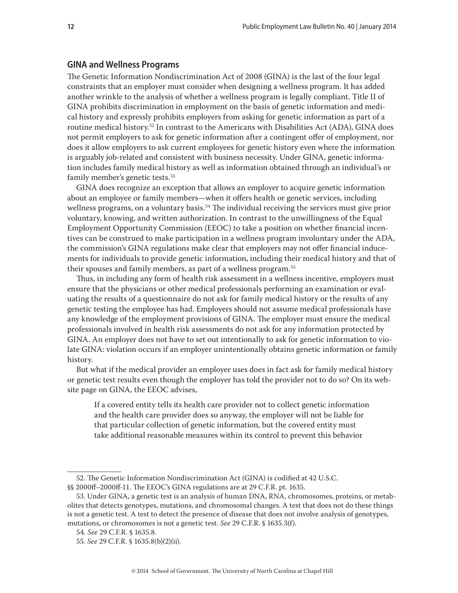#### **GINA and Wellness Programs**

The Genetic Information Nondiscrimination Act of 2008 (GINA) is the last of the four legal constraints that an employer must consider when designing a wellness program. It has added another wrinkle to the analysis of whether a wellness program is legally compliant. Title II of GINA prohibits discrimination in employment on the basis of genetic information and medical history and expressly prohibits employers from asking for genetic information as part of a routine medical history.<sup>52</sup> In contrast to the Americans with Disabilities Act (ADA), GINA does not permit employers to ask for genetic information after a contingent offer of employment, nor does it allow employers to ask current employees for genetic history even where the information is arguably job-related and consistent with business necessity. Under GINA, genetic information includes family medical history as well as information obtained through an individual's or family member's genetic tests.53

GINA does recognize an exception that allows an employer to acquire genetic information about an employee or family members—when it offers health or genetic services, including wellness programs, on a voluntary basis.<sup>54</sup> The individual receiving the services must give prior voluntary, knowing, and written authorization. In contrast to the unwillingness of the Equal Employment Opportunity Commission (EEOC) to take a position on whether financial incentives can be construed to make participation in a wellness program involuntary under the ADA, the commission's GINA regulations make clear that employers may not offer financial inducements for individuals to provide genetic information, including their medical history and that of their spouses and family members, as part of a wellness program.55

Thus, in including any form of health risk assessment in a wellness incentive, employers must ensure that the physicians or other medical professionals performing an examination or evaluating the results of a questionnaire do not ask for family medical history or the results of any genetic testing the employee has had. Employers should not assume medical professionals have any knowledge of the employment provisions of GINA. The employer must ensure the medical professionals involved in health risk assessments do not ask for any information protected by GINA. An employer does not have to set out intentionally to ask for genetic information to violate GINA: violation occurs if an employer unintentionally obtains genetic information or family history.

But what if the medical provider an employer uses does in fact ask for family medical history or genetic test results even though the employer has told the provider not to do so? On its website page on GINA, the EEOC advises,

If a covered entity tells its health care provider not to collect genetic information and the health care provider does so anyway, the employer will not be liable for that particular collection of genetic information, but the covered entity must take additional reasonable measures within its control to prevent this behavior

<sup>52.</sup> The Genetic Information Nondiscrimination Act (GINA) is codified at 42 U.S.C. §§ 2000ff–2000ff-11. The EEOC's GINA regulations are at 29 C.F.R. pt. 1635.

<sup>53.</sup> Under GINA, a genetic test is an analysis of human DNA, RNA, chromosomes, proteins, or metabolites that detects genotypes, mutations, and chromosomal changes. A test that does not do these things is not a genetic test. A test to detect the presence of disease that does not involve analysis of genotypes, mutations, or chromosomes is not a genetic test. *See* 29 C.F.R. § 1635.3(f).

<sup>54.</sup> *See* 29 C.F.R. § 1635.8.

<sup>55.</sup> *See* 29 C.F.R. § 1635.8(b)(2)(ii).